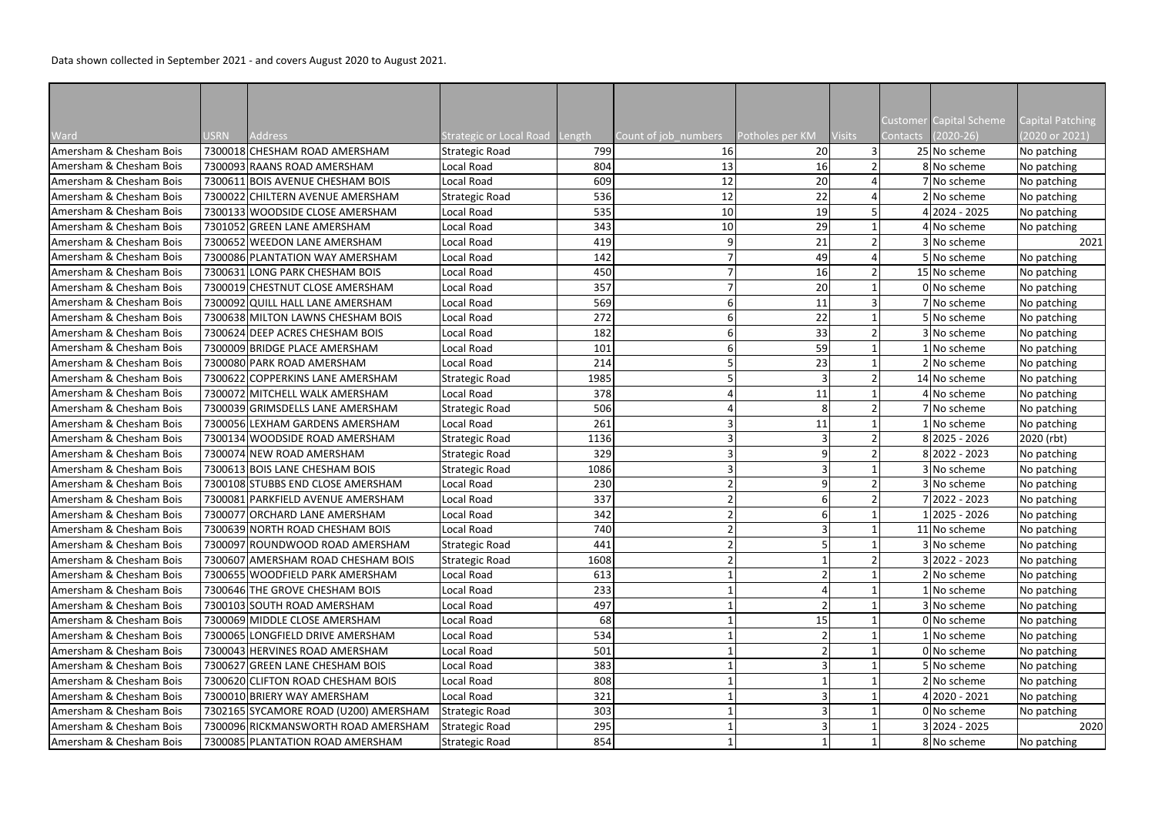Data shown collected in September 2021 - and covers August 2020 to August 2021.

| Customer Capital Scheme<br><b>Capital Patching</b><br><b>Visits</b><br><b>Address</b><br>$(2020-26)$<br>(2020 or 2021)<br>Ward<br><b>USRN</b><br>Count of job_numbers<br>Potholes per KM<br>Contacts<br><b>Strategic or Local Road Length</b><br>Amersham & Chesham Bois<br>7300018 CHESHAM ROAD AMERSHAM<br>799<br>20<br>25 No scheme<br>No patching<br>Strategic Road<br>16<br>Amersham & Chesham Bois<br>7300093 RAANS ROAD AMERSHAM<br>804<br>16<br>8 No scheme<br>Local Road<br>No patching<br>13<br>Amersham & Chesham Bois<br>7300611 BOIS AVENUE CHESHAM BOIS<br>20<br>Local Road<br>609<br>12<br>7 No scheme<br>No patching<br>536<br>22<br>Amersham & Chesham Bois<br>7300022 CHILTERN AVENUE AMERSHAM<br>12<br><b>Strategic Road</b><br>2 No scheme<br>No patching<br>19<br>Amersham & Chesham Bois<br>7300133 WOODSIDE CLOSE AMERSHAM<br>535<br>4 2024 - 2025<br>No patching<br>Local Road<br>10<br>29<br>Amersham & Chesham Bois<br>343<br>7301052 GREEN LANE AMERSHAM<br>Local Road<br>10<br>4 No scheme<br>No patching<br>21<br>7300652 WEEDON LANE AMERSHAM<br>419<br>2021<br>Local Road<br>3 No scheme<br>Amersham & Chesham Bois<br>142<br>49<br>7300086 PLANTATION WAY AMERSHAM<br>5 No scheme<br>No patching<br>Local Road<br>16<br>7300631 LONG PARK CHESHAM BOIS<br>450<br>Local Road<br>15 No scheme<br>No patching<br>357<br>20<br>7300019 CHESTNUT CLOSE AMERSHAM<br>Local Road<br>0 No scheme<br>No patching<br>569<br>7300092 QUILL HALL LANE AMERSHAM<br>11<br>7 No scheme<br>No patching<br>Local Road<br>272<br>22<br>7300638 MILTON LAWNS CHESHAM BOIS<br>Local Road<br>5 No scheme<br>No patching<br>7300624 DEEP ACRES CHESHAM BOIS<br>182<br>33<br>Local Road<br>3 No scheme<br>No patching<br>59<br>7300009 BRIDGE PLACE AMERSHAM<br>101<br>Local Road<br>No scheme<br>No patching<br>7300080 PARK ROAD AMERSHAM<br>Local Road<br>214<br>23<br>No patching<br>2 No scheme<br>7300622 COPPERKINS LANE AMERSHAM<br>1985<br>14 No scheme<br><b>Strategic Road</b><br>No patching<br>378<br>7300072 MITCHELL WALK AMERSHAM<br>4 No scheme<br>No patching<br>Local Road<br>11<br>7300039 GRIMSDELLS LANE AMERSHAM<br>506<br>8<br>7 No scheme<br>No patching<br><b>Strategic Road</b><br>261<br>7300056 LEXHAM GARDENS AMERSHAM<br>11<br>No scheme<br>Local Road<br>No patching<br>$8 2025 - 2026$<br>2020 (rbt)<br>7300134 WOODSIDE ROAD AMERSHAM<br><b>Strategic Road</b><br>1136<br>7300074 NEW ROAD AMERSHAM<br>8 2022 - 2023<br>329<br>No patching<br>Strategic Road<br>7300613 BOIS LANE CHESHAM BOIS<br>1086<br>Strategic Road<br>3 No scheme<br>No patching<br>7300108 STUBBS END CLOSE AMERSHAM<br>Local Road<br>230<br>3 No scheme<br>No patching<br>7300081 PARKFIELD AVENUE AMERSHAM<br>Local Road<br>337<br>2022 - 2023<br>No patching<br>342<br>7300077 ORCHARD LANE AMERSHAM<br>Local Road<br>1 2025 - 2026<br>No patching<br>740<br>7300639 NORTH ROAD CHESHAM BOIS<br>11 No scheme<br>Local Road<br>No patching<br>7300097 ROUNDWOOD ROAD AMERSHAM<br><b>Strategic Road</b><br>441<br>3 No scheme<br>No patching<br>Amersham & Chesham Bois<br>7300607 AMERSHAM ROAD CHESHAM BOIS<br>1608<br>$3 2022 - 2023$<br>No patching<br><b>Strategic Road</b><br>7300655 WOODFIELD PARK AMERSHAM<br>Local Road<br>613<br>2 No scheme<br>No patching<br>233<br>No scheme<br>No patching<br>7300646 THE GROVE CHESHAM BOIS<br>Local Road<br>497<br>Amersham & Chesham Bois<br>7300103 SOUTH ROAD AMERSHAM<br>Local Road<br>3 No scheme<br>No patching<br>Amersham & Chesham Bois<br>7300069 MIDDLE CLOSE AMERSHAM<br>68<br>Local Road<br>15<br>0 No scheme<br>No patching<br>534<br>Amersham & Chesham Bois<br>7300065 LONGFIELD DRIVE AMERSHAM<br>No scheme<br>No patching<br>Local Road<br>Amersham & Chesham Bois<br>501<br>7300043 HERVINES ROAD AMERSHAM<br>Local Road<br>0 No scheme<br>No patching<br>383<br>Amersham & Chesham Bois<br>7300627 GREEN LANE CHESHAM BOIS<br>Local Road<br>5 No scheme<br>No patching<br>Amersham & Chesham Bois<br>808<br>7300620 CLIFTON ROAD CHESHAM BOIS<br>2 No scheme<br>No patching<br>Local Road<br>Amersham & Chesham Bois<br>7300010 BRIERY WAY AMERSHAM<br>Local Road<br>321<br>4 2020 - 2021<br>No patching<br>303<br>Amersham & Chesham Bois<br>7302165 SYCAMORE ROAD (U200) AMERSHAM<br><b>Strategic Road</b><br>0 No scheme<br>No patching<br>295<br>Amersham & Chesham Bois<br>7300096 RICKMANSWORTH ROAD AMERSHAM<br>Strategic Road<br>3 2024 - 2025<br>2020 |                         |  |  |  |  |  |
|-------------------------------------------------------------------------------------------------------------------------------------------------------------------------------------------------------------------------------------------------------------------------------------------------------------------------------------------------------------------------------------------------------------------------------------------------------------------------------------------------------------------------------------------------------------------------------------------------------------------------------------------------------------------------------------------------------------------------------------------------------------------------------------------------------------------------------------------------------------------------------------------------------------------------------------------------------------------------------------------------------------------------------------------------------------------------------------------------------------------------------------------------------------------------------------------------------------------------------------------------------------------------------------------------------------------------------------------------------------------------------------------------------------------------------------------------------------------------------------------------------------------------------------------------------------------------------------------------------------------------------------------------------------------------------------------------------------------------------------------------------------------------------------------------------------------------------------------------------------------------------------------------------------------------------------------------------------------------------------------------------------------------------------------------------------------------------------------------------------------------------------------------------------------------------------------------------------------------------------------------------------------------------------------------------------------------------------------------------------------------------------------------------------------------------------------------------------------------------------------------------------------------------------------------------------------------------------------------------------------------------------------------------------------------------------------------------------------------------------------------------------------------------------------------------------------------------------------------------------------------------------------------------------------------------------------------------------------------------------------------------------------------------------------------------------------------------------------------------------------------------------------------------------------------------------------------------------------------------------------------------------------------------------------------------------------------------------------------------------------------------------------------------------------------------------------------------------------------------------------------------------------------------------------------------------------------------------------------------------------------------------------------------------------------------------------------------------------------------------------------------------------------------------------------------------------------------------------------------------------------------------------------------------------------------------------------------------------------------------------------------------------------------------------------------------------------------------------------------------------------------------------------------------------------------------------------------------------------------------------------------------------------------------------------------------------------------------------------------------------------------------------------------------------------------------------------------|-------------------------|--|--|--|--|--|
|                                                                                                                                                                                                                                                                                                                                                                                                                                                                                                                                                                                                                                                                                                                                                                                                                                                                                                                                                                                                                                                                                                                                                                                                                                                                                                                                                                                                                                                                                                                                                                                                                                                                                                                                                                                                                                                                                                                                                                                                                                                                                                                                                                                                                                                                                                                                                                                                                                                                                                                                                                                                                                                                                                                                                                                                                                                                                                                                                                                                                                                                                                                                                                                                                                                                                                                                                                                                                                                                                                                                                                                                                                                                                                                                                                                                                                                                                                                                                                                                                                                                                                                                                                                                                                                                                                                                                                                                                                                       |                         |  |  |  |  |  |
|                                                                                                                                                                                                                                                                                                                                                                                                                                                                                                                                                                                                                                                                                                                                                                                                                                                                                                                                                                                                                                                                                                                                                                                                                                                                                                                                                                                                                                                                                                                                                                                                                                                                                                                                                                                                                                                                                                                                                                                                                                                                                                                                                                                                                                                                                                                                                                                                                                                                                                                                                                                                                                                                                                                                                                                                                                                                                                                                                                                                                                                                                                                                                                                                                                                                                                                                                                                                                                                                                                                                                                                                                                                                                                                                                                                                                                                                                                                                                                                                                                                                                                                                                                                                                                                                                                                                                                                                                                                       |                         |  |  |  |  |  |
|                                                                                                                                                                                                                                                                                                                                                                                                                                                                                                                                                                                                                                                                                                                                                                                                                                                                                                                                                                                                                                                                                                                                                                                                                                                                                                                                                                                                                                                                                                                                                                                                                                                                                                                                                                                                                                                                                                                                                                                                                                                                                                                                                                                                                                                                                                                                                                                                                                                                                                                                                                                                                                                                                                                                                                                                                                                                                                                                                                                                                                                                                                                                                                                                                                                                                                                                                                                                                                                                                                                                                                                                                                                                                                                                                                                                                                                                                                                                                                                                                                                                                                                                                                                                                                                                                                                                                                                                                                                       |                         |  |  |  |  |  |
|                                                                                                                                                                                                                                                                                                                                                                                                                                                                                                                                                                                                                                                                                                                                                                                                                                                                                                                                                                                                                                                                                                                                                                                                                                                                                                                                                                                                                                                                                                                                                                                                                                                                                                                                                                                                                                                                                                                                                                                                                                                                                                                                                                                                                                                                                                                                                                                                                                                                                                                                                                                                                                                                                                                                                                                                                                                                                                                                                                                                                                                                                                                                                                                                                                                                                                                                                                                                                                                                                                                                                                                                                                                                                                                                                                                                                                                                                                                                                                                                                                                                                                                                                                                                                                                                                                                                                                                                                                                       |                         |  |  |  |  |  |
|                                                                                                                                                                                                                                                                                                                                                                                                                                                                                                                                                                                                                                                                                                                                                                                                                                                                                                                                                                                                                                                                                                                                                                                                                                                                                                                                                                                                                                                                                                                                                                                                                                                                                                                                                                                                                                                                                                                                                                                                                                                                                                                                                                                                                                                                                                                                                                                                                                                                                                                                                                                                                                                                                                                                                                                                                                                                                                                                                                                                                                                                                                                                                                                                                                                                                                                                                                                                                                                                                                                                                                                                                                                                                                                                                                                                                                                                                                                                                                                                                                                                                                                                                                                                                                                                                                                                                                                                                                                       |                         |  |  |  |  |  |
|                                                                                                                                                                                                                                                                                                                                                                                                                                                                                                                                                                                                                                                                                                                                                                                                                                                                                                                                                                                                                                                                                                                                                                                                                                                                                                                                                                                                                                                                                                                                                                                                                                                                                                                                                                                                                                                                                                                                                                                                                                                                                                                                                                                                                                                                                                                                                                                                                                                                                                                                                                                                                                                                                                                                                                                                                                                                                                                                                                                                                                                                                                                                                                                                                                                                                                                                                                                                                                                                                                                                                                                                                                                                                                                                                                                                                                                                                                                                                                                                                                                                                                                                                                                                                                                                                                                                                                                                                                                       |                         |  |  |  |  |  |
|                                                                                                                                                                                                                                                                                                                                                                                                                                                                                                                                                                                                                                                                                                                                                                                                                                                                                                                                                                                                                                                                                                                                                                                                                                                                                                                                                                                                                                                                                                                                                                                                                                                                                                                                                                                                                                                                                                                                                                                                                                                                                                                                                                                                                                                                                                                                                                                                                                                                                                                                                                                                                                                                                                                                                                                                                                                                                                                                                                                                                                                                                                                                                                                                                                                                                                                                                                                                                                                                                                                                                                                                                                                                                                                                                                                                                                                                                                                                                                                                                                                                                                                                                                                                                                                                                                                                                                                                                                                       |                         |  |  |  |  |  |
|                                                                                                                                                                                                                                                                                                                                                                                                                                                                                                                                                                                                                                                                                                                                                                                                                                                                                                                                                                                                                                                                                                                                                                                                                                                                                                                                                                                                                                                                                                                                                                                                                                                                                                                                                                                                                                                                                                                                                                                                                                                                                                                                                                                                                                                                                                                                                                                                                                                                                                                                                                                                                                                                                                                                                                                                                                                                                                                                                                                                                                                                                                                                                                                                                                                                                                                                                                                                                                                                                                                                                                                                                                                                                                                                                                                                                                                                                                                                                                                                                                                                                                                                                                                                                                                                                                                                                                                                                                                       |                         |  |  |  |  |  |
|                                                                                                                                                                                                                                                                                                                                                                                                                                                                                                                                                                                                                                                                                                                                                                                                                                                                                                                                                                                                                                                                                                                                                                                                                                                                                                                                                                                                                                                                                                                                                                                                                                                                                                                                                                                                                                                                                                                                                                                                                                                                                                                                                                                                                                                                                                                                                                                                                                                                                                                                                                                                                                                                                                                                                                                                                                                                                                                                                                                                                                                                                                                                                                                                                                                                                                                                                                                                                                                                                                                                                                                                                                                                                                                                                                                                                                                                                                                                                                                                                                                                                                                                                                                                                                                                                                                                                                                                                                                       |                         |  |  |  |  |  |
|                                                                                                                                                                                                                                                                                                                                                                                                                                                                                                                                                                                                                                                                                                                                                                                                                                                                                                                                                                                                                                                                                                                                                                                                                                                                                                                                                                                                                                                                                                                                                                                                                                                                                                                                                                                                                                                                                                                                                                                                                                                                                                                                                                                                                                                                                                                                                                                                                                                                                                                                                                                                                                                                                                                                                                                                                                                                                                                                                                                                                                                                                                                                                                                                                                                                                                                                                                                                                                                                                                                                                                                                                                                                                                                                                                                                                                                                                                                                                                                                                                                                                                                                                                                                                                                                                                                                                                                                                                                       | Amersham & Chesham Bois |  |  |  |  |  |
|                                                                                                                                                                                                                                                                                                                                                                                                                                                                                                                                                                                                                                                                                                                                                                                                                                                                                                                                                                                                                                                                                                                                                                                                                                                                                                                                                                                                                                                                                                                                                                                                                                                                                                                                                                                                                                                                                                                                                                                                                                                                                                                                                                                                                                                                                                                                                                                                                                                                                                                                                                                                                                                                                                                                                                                                                                                                                                                                                                                                                                                                                                                                                                                                                                                                                                                                                                                                                                                                                                                                                                                                                                                                                                                                                                                                                                                                                                                                                                                                                                                                                                                                                                                                                                                                                                                                                                                                                                                       |                         |  |  |  |  |  |
|                                                                                                                                                                                                                                                                                                                                                                                                                                                                                                                                                                                                                                                                                                                                                                                                                                                                                                                                                                                                                                                                                                                                                                                                                                                                                                                                                                                                                                                                                                                                                                                                                                                                                                                                                                                                                                                                                                                                                                                                                                                                                                                                                                                                                                                                                                                                                                                                                                                                                                                                                                                                                                                                                                                                                                                                                                                                                                                                                                                                                                                                                                                                                                                                                                                                                                                                                                                                                                                                                                                                                                                                                                                                                                                                                                                                                                                                                                                                                                                                                                                                                                                                                                                                                                                                                                                                                                                                                                                       | Amersham & Chesham Bois |  |  |  |  |  |
|                                                                                                                                                                                                                                                                                                                                                                                                                                                                                                                                                                                                                                                                                                                                                                                                                                                                                                                                                                                                                                                                                                                                                                                                                                                                                                                                                                                                                                                                                                                                                                                                                                                                                                                                                                                                                                                                                                                                                                                                                                                                                                                                                                                                                                                                                                                                                                                                                                                                                                                                                                                                                                                                                                                                                                                                                                                                                                                                                                                                                                                                                                                                                                                                                                                                                                                                                                                                                                                                                                                                                                                                                                                                                                                                                                                                                                                                                                                                                                                                                                                                                                                                                                                                                                                                                                                                                                                                                                                       | Amersham & Chesham Bois |  |  |  |  |  |
|                                                                                                                                                                                                                                                                                                                                                                                                                                                                                                                                                                                                                                                                                                                                                                                                                                                                                                                                                                                                                                                                                                                                                                                                                                                                                                                                                                                                                                                                                                                                                                                                                                                                                                                                                                                                                                                                                                                                                                                                                                                                                                                                                                                                                                                                                                                                                                                                                                                                                                                                                                                                                                                                                                                                                                                                                                                                                                                                                                                                                                                                                                                                                                                                                                                                                                                                                                                                                                                                                                                                                                                                                                                                                                                                                                                                                                                                                                                                                                                                                                                                                                                                                                                                                                                                                                                                                                                                                                                       | Amersham & Chesham Bois |  |  |  |  |  |
|                                                                                                                                                                                                                                                                                                                                                                                                                                                                                                                                                                                                                                                                                                                                                                                                                                                                                                                                                                                                                                                                                                                                                                                                                                                                                                                                                                                                                                                                                                                                                                                                                                                                                                                                                                                                                                                                                                                                                                                                                                                                                                                                                                                                                                                                                                                                                                                                                                                                                                                                                                                                                                                                                                                                                                                                                                                                                                                                                                                                                                                                                                                                                                                                                                                                                                                                                                                                                                                                                                                                                                                                                                                                                                                                                                                                                                                                                                                                                                                                                                                                                                                                                                                                                                                                                                                                                                                                                                                       | Amersham & Chesham Bois |  |  |  |  |  |
|                                                                                                                                                                                                                                                                                                                                                                                                                                                                                                                                                                                                                                                                                                                                                                                                                                                                                                                                                                                                                                                                                                                                                                                                                                                                                                                                                                                                                                                                                                                                                                                                                                                                                                                                                                                                                                                                                                                                                                                                                                                                                                                                                                                                                                                                                                                                                                                                                                                                                                                                                                                                                                                                                                                                                                                                                                                                                                                                                                                                                                                                                                                                                                                                                                                                                                                                                                                                                                                                                                                                                                                                                                                                                                                                                                                                                                                                                                                                                                                                                                                                                                                                                                                                                                                                                                                                                                                                                                                       | Amersham & Chesham Bois |  |  |  |  |  |
|                                                                                                                                                                                                                                                                                                                                                                                                                                                                                                                                                                                                                                                                                                                                                                                                                                                                                                                                                                                                                                                                                                                                                                                                                                                                                                                                                                                                                                                                                                                                                                                                                                                                                                                                                                                                                                                                                                                                                                                                                                                                                                                                                                                                                                                                                                                                                                                                                                                                                                                                                                                                                                                                                                                                                                                                                                                                                                                                                                                                                                                                                                                                                                                                                                                                                                                                                                                                                                                                                                                                                                                                                                                                                                                                                                                                                                                                                                                                                                                                                                                                                                                                                                                                                                                                                                                                                                                                                                                       | Amersham & Chesham Bois |  |  |  |  |  |
|                                                                                                                                                                                                                                                                                                                                                                                                                                                                                                                                                                                                                                                                                                                                                                                                                                                                                                                                                                                                                                                                                                                                                                                                                                                                                                                                                                                                                                                                                                                                                                                                                                                                                                                                                                                                                                                                                                                                                                                                                                                                                                                                                                                                                                                                                                                                                                                                                                                                                                                                                                                                                                                                                                                                                                                                                                                                                                                                                                                                                                                                                                                                                                                                                                                                                                                                                                                                                                                                                                                                                                                                                                                                                                                                                                                                                                                                                                                                                                                                                                                                                                                                                                                                                                                                                                                                                                                                                                                       | Amersham & Chesham Bois |  |  |  |  |  |
|                                                                                                                                                                                                                                                                                                                                                                                                                                                                                                                                                                                                                                                                                                                                                                                                                                                                                                                                                                                                                                                                                                                                                                                                                                                                                                                                                                                                                                                                                                                                                                                                                                                                                                                                                                                                                                                                                                                                                                                                                                                                                                                                                                                                                                                                                                                                                                                                                                                                                                                                                                                                                                                                                                                                                                                                                                                                                                                                                                                                                                                                                                                                                                                                                                                                                                                                                                                                                                                                                                                                                                                                                                                                                                                                                                                                                                                                                                                                                                                                                                                                                                                                                                                                                                                                                                                                                                                                                                                       | Amersham & Chesham Bois |  |  |  |  |  |
|                                                                                                                                                                                                                                                                                                                                                                                                                                                                                                                                                                                                                                                                                                                                                                                                                                                                                                                                                                                                                                                                                                                                                                                                                                                                                                                                                                                                                                                                                                                                                                                                                                                                                                                                                                                                                                                                                                                                                                                                                                                                                                                                                                                                                                                                                                                                                                                                                                                                                                                                                                                                                                                                                                                                                                                                                                                                                                                                                                                                                                                                                                                                                                                                                                                                                                                                                                                                                                                                                                                                                                                                                                                                                                                                                                                                                                                                                                                                                                                                                                                                                                                                                                                                                                                                                                                                                                                                                                                       | Amersham & Chesham Bois |  |  |  |  |  |
|                                                                                                                                                                                                                                                                                                                                                                                                                                                                                                                                                                                                                                                                                                                                                                                                                                                                                                                                                                                                                                                                                                                                                                                                                                                                                                                                                                                                                                                                                                                                                                                                                                                                                                                                                                                                                                                                                                                                                                                                                                                                                                                                                                                                                                                                                                                                                                                                                                                                                                                                                                                                                                                                                                                                                                                                                                                                                                                                                                                                                                                                                                                                                                                                                                                                                                                                                                                                                                                                                                                                                                                                                                                                                                                                                                                                                                                                                                                                                                                                                                                                                                                                                                                                                                                                                                                                                                                                                                                       | Amersham & Chesham Bois |  |  |  |  |  |
|                                                                                                                                                                                                                                                                                                                                                                                                                                                                                                                                                                                                                                                                                                                                                                                                                                                                                                                                                                                                                                                                                                                                                                                                                                                                                                                                                                                                                                                                                                                                                                                                                                                                                                                                                                                                                                                                                                                                                                                                                                                                                                                                                                                                                                                                                                                                                                                                                                                                                                                                                                                                                                                                                                                                                                                                                                                                                                                                                                                                                                                                                                                                                                                                                                                                                                                                                                                                                                                                                                                                                                                                                                                                                                                                                                                                                                                                                                                                                                                                                                                                                                                                                                                                                                                                                                                                                                                                                                                       | Amersham & Chesham Bois |  |  |  |  |  |
|                                                                                                                                                                                                                                                                                                                                                                                                                                                                                                                                                                                                                                                                                                                                                                                                                                                                                                                                                                                                                                                                                                                                                                                                                                                                                                                                                                                                                                                                                                                                                                                                                                                                                                                                                                                                                                                                                                                                                                                                                                                                                                                                                                                                                                                                                                                                                                                                                                                                                                                                                                                                                                                                                                                                                                                                                                                                                                                                                                                                                                                                                                                                                                                                                                                                                                                                                                                                                                                                                                                                                                                                                                                                                                                                                                                                                                                                                                                                                                                                                                                                                                                                                                                                                                                                                                                                                                                                                                                       | Amersham & Chesham Bois |  |  |  |  |  |
|                                                                                                                                                                                                                                                                                                                                                                                                                                                                                                                                                                                                                                                                                                                                                                                                                                                                                                                                                                                                                                                                                                                                                                                                                                                                                                                                                                                                                                                                                                                                                                                                                                                                                                                                                                                                                                                                                                                                                                                                                                                                                                                                                                                                                                                                                                                                                                                                                                                                                                                                                                                                                                                                                                                                                                                                                                                                                                                                                                                                                                                                                                                                                                                                                                                                                                                                                                                                                                                                                                                                                                                                                                                                                                                                                                                                                                                                                                                                                                                                                                                                                                                                                                                                                                                                                                                                                                                                                                                       | Amersham & Chesham Bois |  |  |  |  |  |
|                                                                                                                                                                                                                                                                                                                                                                                                                                                                                                                                                                                                                                                                                                                                                                                                                                                                                                                                                                                                                                                                                                                                                                                                                                                                                                                                                                                                                                                                                                                                                                                                                                                                                                                                                                                                                                                                                                                                                                                                                                                                                                                                                                                                                                                                                                                                                                                                                                                                                                                                                                                                                                                                                                                                                                                                                                                                                                                                                                                                                                                                                                                                                                                                                                                                                                                                                                                                                                                                                                                                                                                                                                                                                                                                                                                                                                                                                                                                                                                                                                                                                                                                                                                                                                                                                                                                                                                                                                                       | Amersham & Chesham Bois |  |  |  |  |  |
|                                                                                                                                                                                                                                                                                                                                                                                                                                                                                                                                                                                                                                                                                                                                                                                                                                                                                                                                                                                                                                                                                                                                                                                                                                                                                                                                                                                                                                                                                                                                                                                                                                                                                                                                                                                                                                                                                                                                                                                                                                                                                                                                                                                                                                                                                                                                                                                                                                                                                                                                                                                                                                                                                                                                                                                                                                                                                                                                                                                                                                                                                                                                                                                                                                                                                                                                                                                                                                                                                                                                                                                                                                                                                                                                                                                                                                                                                                                                                                                                                                                                                                                                                                                                                                                                                                                                                                                                                                                       | Amersham & Chesham Bois |  |  |  |  |  |
|                                                                                                                                                                                                                                                                                                                                                                                                                                                                                                                                                                                                                                                                                                                                                                                                                                                                                                                                                                                                                                                                                                                                                                                                                                                                                                                                                                                                                                                                                                                                                                                                                                                                                                                                                                                                                                                                                                                                                                                                                                                                                                                                                                                                                                                                                                                                                                                                                                                                                                                                                                                                                                                                                                                                                                                                                                                                                                                                                                                                                                                                                                                                                                                                                                                                                                                                                                                                                                                                                                                                                                                                                                                                                                                                                                                                                                                                                                                                                                                                                                                                                                                                                                                                                                                                                                                                                                                                                                                       | Amersham & Chesham Bois |  |  |  |  |  |
|                                                                                                                                                                                                                                                                                                                                                                                                                                                                                                                                                                                                                                                                                                                                                                                                                                                                                                                                                                                                                                                                                                                                                                                                                                                                                                                                                                                                                                                                                                                                                                                                                                                                                                                                                                                                                                                                                                                                                                                                                                                                                                                                                                                                                                                                                                                                                                                                                                                                                                                                                                                                                                                                                                                                                                                                                                                                                                                                                                                                                                                                                                                                                                                                                                                                                                                                                                                                                                                                                                                                                                                                                                                                                                                                                                                                                                                                                                                                                                                                                                                                                                                                                                                                                                                                                                                                                                                                                                                       | Amersham & Chesham Bois |  |  |  |  |  |
|                                                                                                                                                                                                                                                                                                                                                                                                                                                                                                                                                                                                                                                                                                                                                                                                                                                                                                                                                                                                                                                                                                                                                                                                                                                                                                                                                                                                                                                                                                                                                                                                                                                                                                                                                                                                                                                                                                                                                                                                                                                                                                                                                                                                                                                                                                                                                                                                                                                                                                                                                                                                                                                                                                                                                                                                                                                                                                                                                                                                                                                                                                                                                                                                                                                                                                                                                                                                                                                                                                                                                                                                                                                                                                                                                                                                                                                                                                                                                                                                                                                                                                                                                                                                                                                                                                                                                                                                                                                       | Amersham & Chesham Bois |  |  |  |  |  |
|                                                                                                                                                                                                                                                                                                                                                                                                                                                                                                                                                                                                                                                                                                                                                                                                                                                                                                                                                                                                                                                                                                                                                                                                                                                                                                                                                                                                                                                                                                                                                                                                                                                                                                                                                                                                                                                                                                                                                                                                                                                                                                                                                                                                                                                                                                                                                                                                                                                                                                                                                                                                                                                                                                                                                                                                                                                                                                                                                                                                                                                                                                                                                                                                                                                                                                                                                                                                                                                                                                                                                                                                                                                                                                                                                                                                                                                                                                                                                                                                                                                                                                                                                                                                                                                                                                                                                                                                                                                       | Amersham & Chesham Bois |  |  |  |  |  |
|                                                                                                                                                                                                                                                                                                                                                                                                                                                                                                                                                                                                                                                                                                                                                                                                                                                                                                                                                                                                                                                                                                                                                                                                                                                                                                                                                                                                                                                                                                                                                                                                                                                                                                                                                                                                                                                                                                                                                                                                                                                                                                                                                                                                                                                                                                                                                                                                                                                                                                                                                                                                                                                                                                                                                                                                                                                                                                                                                                                                                                                                                                                                                                                                                                                                                                                                                                                                                                                                                                                                                                                                                                                                                                                                                                                                                                                                                                                                                                                                                                                                                                                                                                                                                                                                                                                                                                                                                                                       |                         |  |  |  |  |  |
|                                                                                                                                                                                                                                                                                                                                                                                                                                                                                                                                                                                                                                                                                                                                                                                                                                                                                                                                                                                                                                                                                                                                                                                                                                                                                                                                                                                                                                                                                                                                                                                                                                                                                                                                                                                                                                                                                                                                                                                                                                                                                                                                                                                                                                                                                                                                                                                                                                                                                                                                                                                                                                                                                                                                                                                                                                                                                                                                                                                                                                                                                                                                                                                                                                                                                                                                                                                                                                                                                                                                                                                                                                                                                                                                                                                                                                                                                                                                                                                                                                                                                                                                                                                                                                                                                                                                                                                                                                                       | Amersham & Chesham Bois |  |  |  |  |  |
|                                                                                                                                                                                                                                                                                                                                                                                                                                                                                                                                                                                                                                                                                                                                                                                                                                                                                                                                                                                                                                                                                                                                                                                                                                                                                                                                                                                                                                                                                                                                                                                                                                                                                                                                                                                                                                                                                                                                                                                                                                                                                                                                                                                                                                                                                                                                                                                                                                                                                                                                                                                                                                                                                                                                                                                                                                                                                                                                                                                                                                                                                                                                                                                                                                                                                                                                                                                                                                                                                                                                                                                                                                                                                                                                                                                                                                                                                                                                                                                                                                                                                                                                                                                                                                                                                                                                                                                                                                                       | Amersham & Chesham Bois |  |  |  |  |  |
|                                                                                                                                                                                                                                                                                                                                                                                                                                                                                                                                                                                                                                                                                                                                                                                                                                                                                                                                                                                                                                                                                                                                                                                                                                                                                                                                                                                                                                                                                                                                                                                                                                                                                                                                                                                                                                                                                                                                                                                                                                                                                                                                                                                                                                                                                                                                                                                                                                                                                                                                                                                                                                                                                                                                                                                                                                                                                                                                                                                                                                                                                                                                                                                                                                                                                                                                                                                                                                                                                                                                                                                                                                                                                                                                                                                                                                                                                                                                                                                                                                                                                                                                                                                                                                                                                                                                                                                                                                                       |                         |  |  |  |  |  |
|                                                                                                                                                                                                                                                                                                                                                                                                                                                                                                                                                                                                                                                                                                                                                                                                                                                                                                                                                                                                                                                                                                                                                                                                                                                                                                                                                                                                                                                                                                                                                                                                                                                                                                                                                                                                                                                                                                                                                                                                                                                                                                                                                                                                                                                                                                                                                                                                                                                                                                                                                                                                                                                                                                                                                                                                                                                                                                                                                                                                                                                                                                                                                                                                                                                                                                                                                                                                                                                                                                                                                                                                                                                                                                                                                                                                                                                                                                                                                                                                                                                                                                                                                                                                                                                                                                                                                                                                                                                       |                         |  |  |  |  |  |
|                                                                                                                                                                                                                                                                                                                                                                                                                                                                                                                                                                                                                                                                                                                                                                                                                                                                                                                                                                                                                                                                                                                                                                                                                                                                                                                                                                                                                                                                                                                                                                                                                                                                                                                                                                                                                                                                                                                                                                                                                                                                                                                                                                                                                                                                                                                                                                                                                                                                                                                                                                                                                                                                                                                                                                                                                                                                                                                                                                                                                                                                                                                                                                                                                                                                                                                                                                                                                                                                                                                                                                                                                                                                                                                                                                                                                                                                                                                                                                                                                                                                                                                                                                                                                                                                                                                                                                                                                                                       |                         |  |  |  |  |  |
|                                                                                                                                                                                                                                                                                                                                                                                                                                                                                                                                                                                                                                                                                                                                                                                                                                                                                                                                                                                                                                                                                                                                                                                                                                                                                                                                                                                                                                                                                                                                                                                                                                                                                                                                                                                                                                                                                                                                                                                                                                                                                                                                                                                                                                                                                                                                                                                                                                                                                                                                                                                                                                                                                                                                                                                                                                                                                                                                                                                                                                                                                                                                                                                                                                                                                                                                                                                                                                                                                                                                                                                                                                                                                                                                                                                                                                                                                                                                                                                                                                                                                                                                                                                                                                                                                                                                                                                                                                                       |                         |  |  |  |  |  |
|                                                                                                                                                                                                                                                                                                                                                                                                                                                                                                                                                                                                                                                                                                                                                                                                                                                                                                                                                                                                                                                                                                                                                                                                                                                                                                                                                                                                                                                                                                                                                                                                                                                                                                                                                                                                                                                                                                                                                                                                                                                                                                                                                                                                                                                                                                                                                                                                                                                                                                                                                                                                                                                                                                                                                                                                                                                                                                                                                                                                                                                                                                                                                                                                                                                                                                                                                                                                                                                                                                                                                                                                                                                                                                                                                                                                                                                                                                                                                                                                                                                                                                                                                                                                                                                                                                                                                                                                                                                       |                         |  |  |  |  |  |
|                                                                                                                                                                                                                                                                                                                                                                                                                                                                                                                                                                                                                                                                                                                                                                                                                                                                                                                                                                                                                                                                                                                                                                                                                                                                                                                                                                                                                                                                                                                                                                                                                                                                                                                                                                                                                                                                                                                                                                                                                                                                                                                                                                                                                                                                                                                                                                                                                                                                                                                                                                                                                                                                                                                                                                                                                                                                                                                                                                                                                                                                                                                                                                                                                                                                                                                                                                                                                                                                                                                                                                                                                                                                                                                                                                                                                                                                                                                                                                                                                                                                                                                                                                                                                                                                                                                                                                                                                                                       |                         |  |  |  |  |  |
|                                                                                                                                                                                                                                                                                                                                                                                                                                                                                                                                                                                                                                                                                                                                                                                                                                                                                                                                                                                                                                                                                                                                                                                                                                                                                                                                                                                                                                                                                                                                                                                                                                                                                                                                                                                                                                                                                                                                                                                                                                                                                                                                                                                                                                                                                                                                                                                                                                                                                                                                                                                                                                                                                                                                                                                                                                                                                                                                                                                                                                                                                                                                                                                                                                                                                                                                                                                                                                                                                                                                                                                                                                                                                                                                                                                                                                                                                                                                                                                                                                                                                                                                                                                                                                                                                                                                                                                                                                                       |                         |  |  |  |  |  |
|                                                                                                                                                                                                                                                                                                                                                                                                                                                                                                                                                                                                                                                                                                                                                                                                                                                                                                                                                                                                                                                                                                                                                                                                                                                                                                                                                                                                                                                                                                                                                                                                                                                                                                                                                                                                                                                                                                                                                                                                                                                                                                                                                                                                                                                                                                                                                                                                                                                                                                                                                                                                                                                                                                                                                                                                                                                                                                                                                                                                                                                                                                                                                                                                                                                                                                                                                                                                                                                                                                                                                                                                                                                                                                                                                                                                                                                                                                                                                                                                                                                                                                                                                                                                                                                                                                                                                                                                                                                       |                         |  |  |  |  |  |
|                                                                                                                                                                                                                                                                                                                                                                                                                                                                                                                                                                                                                                                                                                                                                                                                                                                                                                                                                                                                                                                                                                                                                                                                                                                                                                                                                                                                                                                                                                                                                                                                                                                                                                                                                                                                                                                                                                                                                                                                                                                                                                                                                                                                                                                                                                                                                                                                                                                                                                                                                                                                                                                                                                                                                                                                                                                                                                                                                                                                                                                                                                                                                                                                                                                                                                                                                                                                                                                                                                                                                                                                                                                                                                                                                                                                                                                                                                                                                                                                                                                                                                                                                                                                                                                                                                                                                                                                                                                       |                         |  |  |  |  |  |
| 7300085 PLANTATION ROAD AMERSHAM<br>854<br>No patching<br><b>Strategic Road</b><br>8 No scheme                                                                                                                                                                                                                                                                                                                                                                                                                                                                                                                                                                                                                                                                                                                                                                                                                                                                                                                                                                                                                                                                                                                                                                                                                                                                                                                                                                                                                                                                                                                                                                                                                                                                                                                                                                                                                                                                                                                                                                                                                                                                                                                                                                                                                                                                                                                                                                                                                                                                                                                                                                                                                                                                                                                                                                                                                                                                                                                                                                                                                                                                                                                                                                                                                                                                                                                                                                                                                                                                                                                                                                                                                                                                                                                                                                                                                                                                                                                                                                                                                                                                                                                                                                                                                                                                                                                                                        | Amersham & Chesham Bois |  |  |  |  |  |